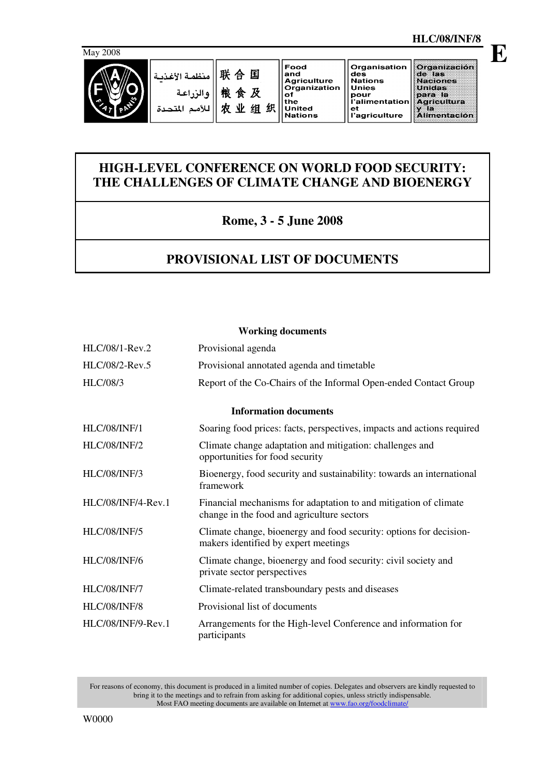

صدة

#### 联合国 منظمة الأغذر 粮食及 والن 农业组织 للأمم المت

Food and<br>Agriculture<br>Organization  $\frac{1}{1}$  of **United Nations** 

#### **HLC/08/INF/8 E**

Organización de las<br>Naciones<br>Unidas para la<br>Agricultura Agneemara<br>Alimentación

# **HIGH-LEVEL CONFERENCE ON WORLD FOOD SECURITY: THE CHALLENGES OF CLIMATE CHANGE AND BIOENERGY**

## **Rome, 3 - 5 June 2008**

# **PROVISIONAL LIST OF DOCUMENTS**

#### **Working documents**

| HLC/08/1-Rev.2      | Provisional agenda                                                                                             |
|---------------------|----------------------------------------------------------------------------------------------------------------|
| HLC/08/2-Rev.5      | Provisional annotated agenda and timetable                                                                     |
| <b>HLC/08/3</b>     | Report of the Co-Chairs of the Informal Open-ended Contact Group                                               |
|                     | <b>Information documents</b>                                                                                   |
| <b>HLC/08/INF/1</b> | Soaring food prices: facts, perspectives, impacts and actions required                                         |
| <b>HLC/08/INF/2</b> | Climate change adaptation and mitigation: challenges and<br>opportunities for food security                    |
| <b>HLC/08/INF/3</b> | Bioenergy, food security and sustainability: towards an international<br>framework                             |
| HLC/08/INF/4-Rev.1  | Financial mechanisms for adaptation to and mitigation of climate<br>change in the food and agriculture sectors |
| <b>HLC/08/INF/5</b> | Climate change, bioenergy and food security: options for decision-<br>makers identified by expert meetings     |
| <b>HLC/08/INF/6</b> | Climate change, bioenergy and food security: civil society and<br>private sector perspectives                  |
| <b>HLC/08/INF/7</b> | Climate-related transboundary pests and diseases                                                               |
| <b>HLC/08/INF/8</b> | Provisional list of documents                                                                                  |
| HLC/08/INF/9-Rev.1  | Arrangements for the High-level Conference and information for<br>participants                                 |

For reasons of economy, this document is produced in a limited number of copies. Delegates and observers are kindly requested to bring it to the meetings and to refrain from asking for additional copies, unless strictly indispensable. Most FAO meeting documents are available on Internet at www.fao.org/foodclimate/